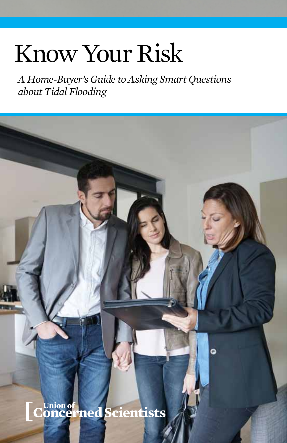# Know Your Risk

*A Home-Buyer's Guide to Asking Smart Questions about Tidal Flooding* 

Ō -<br>\_ConcernedScientists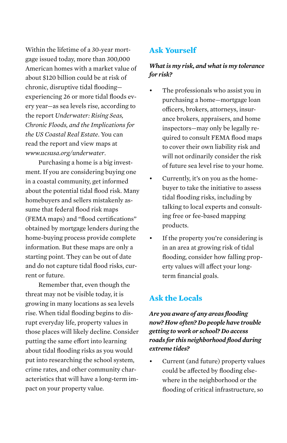Within the lifetime of a 30-year mortgage issued today, more than 300,000 American homes with a market value of about \$120 billion could be at risk of chronic, disruptive tidal flooding experiencing 26 or more tidal floods every year—as sea levels rise, according to the report *Underwater: Rising Seas, Chronic Floods, and the Implications for the US Coastal Real Estate*. You can read the report and view maps at *www.ucsusa.org/underwater*.

Purchasing a home is a big investment. If you are considering buying one in a coastal community, get informed about the potential tidal flood risk. Many homebuyers and sellers mistakenly assume that federal flood risk maps (FEMA maps) and "flood certifications" obtained by mortgage lenders during the home-buying process provide complete information. But these maps are only a starting point. They can be out of date and do not capture tidal flood risks, current or future.

Remember that, even though the threat may not be visible today, it is growing in many locations as sea levels rise. When tidal flooding begins to disrupt everyday life, property values in those places will likely decline. Consider putting the same effort into learning about tidal flooding risks as you would put into researching the school system, crime rates, and other community characteristics that will have a long-term impact on your property value.

## **Ask Yourself**

#### *What is my risk, and what is my tolerance for risk?*

- The professionals who assist you in purchasing a home—mortgage loan officers, brokers, attorneys, insurance brokers, appraisers, and home inspectors—may only be legally required to consult FEMA flood maps to cover their own liability risk and will not ordinarily consider the risk of future sea level rise to your home.
- Currently, it's on you as the homebuyer to take the initiative to assess tidal flooding risks, including by talking to local experts and consulting free or fee-based mapping products.
- • If the property you're considering is in an area at growing risk of tidal flooding, consider how falling property values will affect your longterm financial goals.

# **Ask the Locals**

*Are you aware of any areas flooding now? How often? Do people have trouble getting to work or school? Do access roads for this neighborhood flood during extreme tides?*

Current (and future) property values could be affected by flooding elsewhere in the neighborhood or the flooding of critical infrastructure, so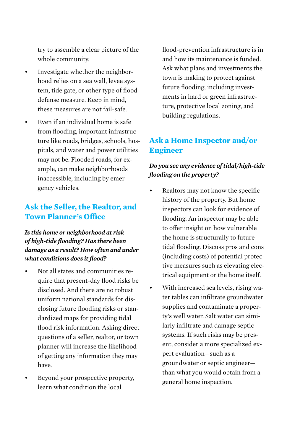try to assemble a clear picture of the whole community.

- Investigate whether the neighborhood relies on a sea wall, levee system, tide gate, or other type of flood defense measure. Keep in mind, these measures are not fail-safe.
- Even if an individual home is safe from flooding, important infrastructure like roads, bridges, schools, hospitals, and water and power utilities may not be. Flooded roads, for example, can make neighborhoods inaccessible, including by emergency vehicles.

## **Ask the Seller, the Realtor, and Town Planner's Office**

#### *Is this home or neighborhood at risk of high-tide flooding? Has there been damage as a result? How often and under what conditions does it flood?*

- Not all states and communities require that present-day flood risks be disclosed. And there are no robust uniform national standards for disclosing future flooding risks or standardized maps for providing tidal flood risk information. Asking direct questions of a seller, realtor, or town planner will increase the likelihood of getting any information they may have.
- Beyond your prospective property, learn what condition the local

flood-prevention infrastructure is in and how its maintenance is funded. Ask what plans and investments the town is making to protect against future flooding, including investments in hard or green infrastructure, protective local zoning, and building regulations.

## **Ask a Home Inspector and/or Engineer**

#### *Do you see any evidence of tidal/high-tide flooding on the property?*

- Realtors may not know the specific history of the property. But home inspectors can look for evidence of flooding. An inspector may be able to offer insight on how vulnerable the home is structurally to future tidal flooding. Discuss pros and cons (including costs) of potential protective measures such as elevating electrical equipment or the home itself.
- With increased sea levels, rising water tables can infiltrate groundwater supplies and contaminate a property's well water. Salt water can similarly infiltrate and damage septic systems. If such risks may be present, consider a more specialized expert evaluation—such as a groundwater or septic engineer than what you would obtain from a general home inspection.